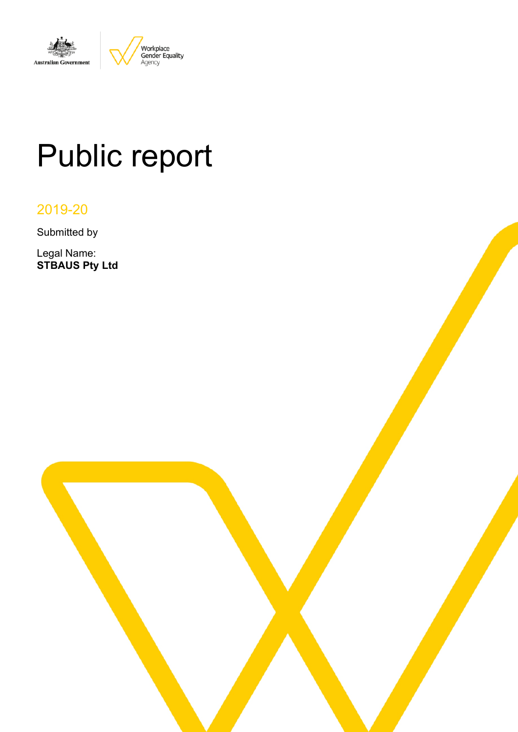

# Public report

2019-20

Submitted by

Legal Name: **STBAUS Pty Ltd**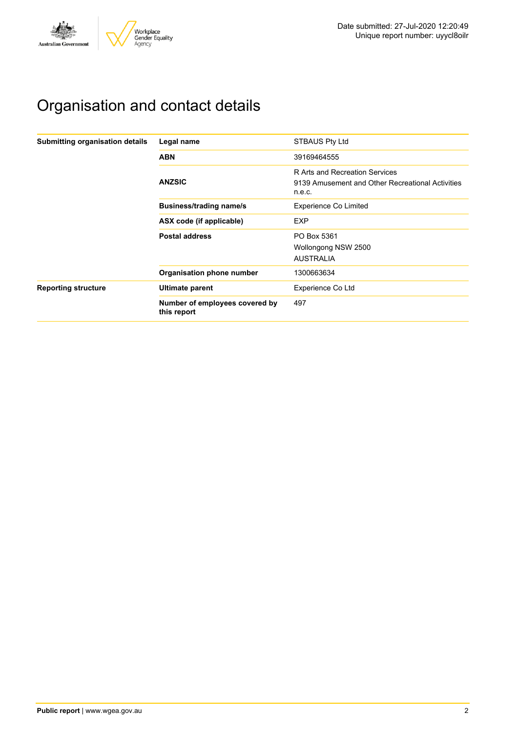

# Organisation and contact details

| Submitting organisation details | Legal name                                    | <b>STBAUS Pty Ltd</b>                                                                        |  |  |
|---------------------------------|-----------------------------------------------|----------------------------------------------------------------------------------------------|--|--|
|                                 | <b>ABN</b>                                    | 39169464555                                                                                  |  |  |
|                                 | <b>ANZSIC</b>                                 | R Arts and Recreation Services<br>9139 Amusement and Other Recreational Activities<br>n.e.c. |  |  |
|                                 | <b>Business/trading name/s</b>                | <b>Experience Co Limited</b>                                                                 |  |  |
|                                 | ASX code (if applicable)                      | <b>EXP</b>                                                                                   |  |  |
|                                 | <b>Postal address</b>                         | PO Box 5361<br>Wollongong NSW 2500<br><b>AUSTRALIA</b>                                       |  |  |
|                                 | Organisation phone number                     | 1300663634                                                                                   |  |  |
| <b>Reporting structure</b>      | Ultimate parent                               | Experience Co Ltd                                                                            |  |  |
|                                 | Number of employees covered by<br>this report | 497                                                                                          |  |  |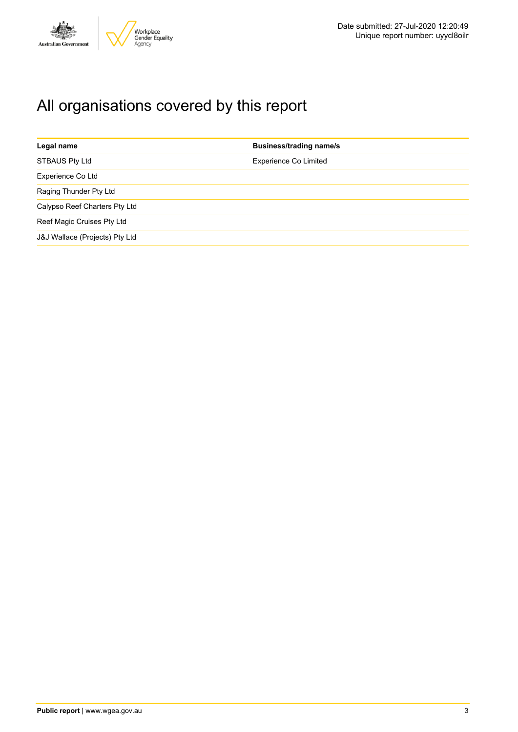

# All organisations covered by this report

| Legal name                     | <b>Business/trading name/s</b> |
|--------------------------------|--------------------------------|
| <b>STBAUS Pty Ltd</b>          | <b>Experience Co Limited</b>   |
| Experience Co Ltd              |                                |
| Raging Thunder Pty Ltd         |                                |
| Calypso Reef Charters Pty Ltd  |                                |
| Reef Magic Cruises Pty Ltd     |                                |
| J&J Wallace (Projects) Pty Ltd |                                |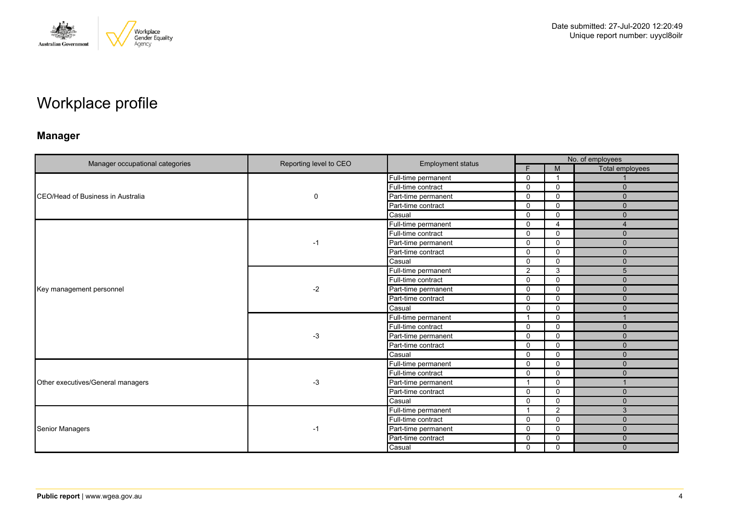

# Workplace profile

### **Manager**

|                                           |                        |                          | No. of employees        |                |                        |  |
|-------------------------------------------|------------------------|--------------------------|-------------------------|----------------|------------------------|--|
| Manager occupational categories           | Reporting level to CEO | <b>Employment status</b> | Е                       | M              | <b>Total employees</b> |  |
|                                           |                        | Full-time permanent      | $\Omega$                | - 1            |                        |  |
|                                           |                        | Full-time contract       | $\mathbf{0}$            | $\mathbf 0$    | $\Omega$               |  |
| <b>ICEO/Head of Business in Australia</b> | $\mathbf 0$            | Part-time permanent      | $\mathbf 0$             | $\mathbf 0$    | $\mathbf{0}$           |  |
|                                           |                        | Part-time contract       | $\mathbf 0$             | $\mathbf{0}$   | $\mathbf{0}$           |  |
|                                           |                        | Casual                   | $\mathbf{0}$            | $\mathbf 0$    | $\Omega$               |  |
|                                           |                        | Full-time permanent      | $\Omega$                | $\overline{4}$ | 4                      |  |
|                                           |                        | Full-time contract       | $\mathbf 0$             | $\mathbf{0}$   | $\mathbf{0}$           |  |
|                                           | $-1$                   | Part-time permanent      | $\mathbf{0}$            | $\Omega$       | $\mathbf{0}$           |  |
|                                           |                        | Part-time contract       | $\Omega$                | $\mathbf{0}$   | $\Omega$               |  |
|                                           |                        | Casual                   | $\mathbf{0}$            | $\mathbf{0}$   | $\mathbf{0}$           |  |
|                                           | $-2$                   | Full-time permanent      | $\mathbf{2}$            | 3              | 5                      |  |
|                                           |                        | Full-time contract       | $\Omega$                | $\mathbf 0$    | $\Omega$               |  |
| Key management personnel                  |                        | Part-time permanent      | $\mathbf 0$             | $\mathbf 0$    | $\mathbf{0}$           |  |
|                                           |                        | Part-time contract       | $\mathbf{0}$            | $\Omega$       | $\mathbf{0}$           |  |
|                                           |                        | Casual                   | 0                       | $\mathbf 0$    | $\Omega$               |  |
|                                           | $-3$                   | Full-time permanent      | $\mathbf{1}$            | $\mathbf 0$    | $\overline{1}$         |  |
|                                           |                        | Full-time contract       | $\mathbf{0}$            | $\Omega$       | $\mathbf{0}$           |  |
|                                           |                        | Part-time permanent      | $\Omega$                | $\mathbf 0$    | $\Omega$               |  |
|                                           |                        | Part-time contract       | $\mathbf{0}$            | $\mathbf{0}$   | $\mathbf{0}$           |  |
|                                           |                        | Casual                   | $\mathbf{0}$            | $\Omega$       | $\Omega$               |  |
|                                           |                        | Full-time permanent      | $\mathbf 0$             | $\mathbf 0$    | $\mathbf{0}$           |  |
|                                           |                        | Full-time contract       | $\mathbf{0}$            | $\mathbf{0}$   | $\Omega$               |  |
| Other executives/General managers         | $-3$                   | Part-time permanent      | $\overline{\mathbf{1}}$ | $\mathbf 0$    |                        |  |
|                                           |                        | Part-time contract       | $\mathbf{0}$            | $\mathbf 0$    | $\mathbf{0}$           |  |
|                                           |                        | Casual                   | $\Omega$                | $\mathbf{0}$   | $\mathbf{0}$           |  |
|                                           |                        | Full-time permanent      | $\overline{1}$          | $\overline{2}$ | 3                      |  |
|                                           |                        | Full-time contract       | $\mathbf 0$             | $\mathbf 0$    | $\mathbf{0}$           |  |
| <b>Senior Managers</b>                    | $-1$                   | Part-time permanent      | 0                       | $\mathbf 0$    | $\mathbf{0}$           |  |
|                                           |                        | Part-time contract       | 0                       | 0              | $\mathbf{0}$           |  |
|                                           |                        | Casual                   | $\mathbf 0$             | $\mathbf 0$    | $\Omega$               |  |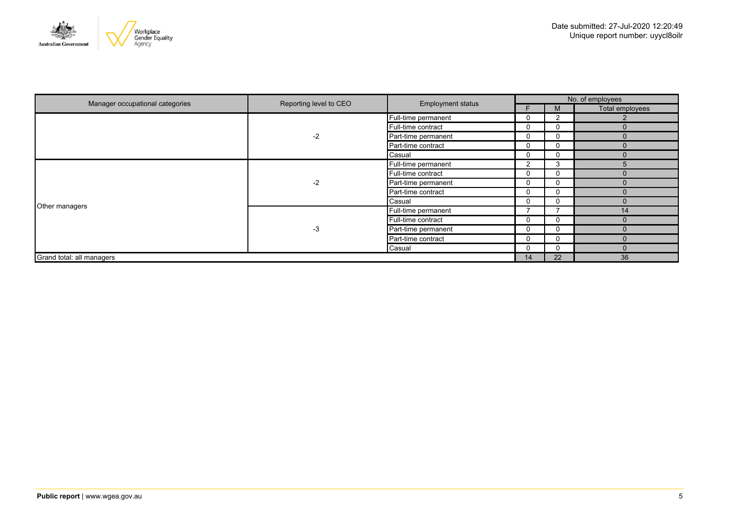

| Manager occupational categories | Reporting level to CEO | <b>Employment status</b> | No. of employees |              |                 |  |
|---------------------------------|------------------------|--------------------------|------------------|--------------|-----------------|--|
|                                 |                        |                          |                  | M            | Total employees |  |
|                                 |                        | Full-time permanent      |                  |              |                 |  |
|                                 |                        | Full-time contract       |                  | 0            | $\Omega$        |  |
|                                 | $-2$                   | Part-time permanent      |                  | 0            | $\Omega$        |  |
|                                 |                        | Part-time contract       |                  | 0            | $\Omega$        |  |
|                                 |                        | Casual                   |                  | $\Omega$     | $\Omega$        |  |
|                                 | $-2$                   | Full-time permanent      | 2                | 3            | $\overline{5}$  |  |
|                                 |                        | Full-time contract       |                  | $\Omega$     | $\Omega$        |  |
|                                 |                        | Part-time permanent      |                  | 0            | $\Omega$        |  |
|                                 |                        | Part-time contract       |                  | 0            | $\Omega$        |  |
|                                 |                        | Casual                   |                  | 0            | $\Omega$        |  |
| Other managers                  | $-3$                   | Full-time permanent      |                  |              | 14              |  |
|                                 |                        | Full-time contract       |                  | 0            |                 |  |
|                                 |                        | Part-time permanent      |                  | 0            | $\Omega$        |  |
|                                 |                        | Part-time contract       | 0                | $\Omega$     | $\Omega$        |  |
|                                 |                        | Casual                   | 0                | $\mathbf{0}$ | $\Omega$        |  |
| Grand total: all managers       |                        |                          | 14               | 22           | 36              |  |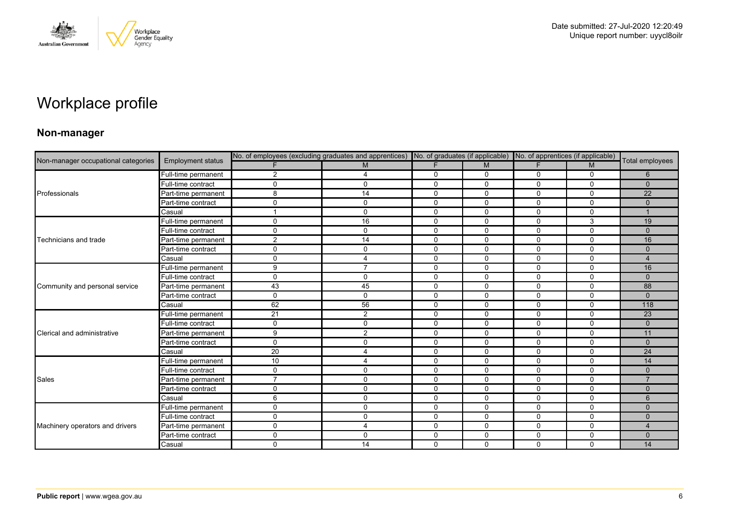

# Workplace profile

### **Non-manager**

| Non-manager occupational categories |                          | No. of employees (excluding graduates and apprentices) No. of graduates (if applicable) No. of apprentices (if applicable) |                |              |              |              |              |                 |
|-------------------------------------|--------------------------|----------------------------------------------------------------------------------------------------------------------------|----------------|--------------|--------------|--------------|--------------|-----------------|
|                                     | <b>Employment status</b> |                                                                                                                            | M              | F            | M            | F.           | M            | Total employees |
|                                     | Full-time permanent      | 2                                                                                                                          | 4              | 0            | 0            | 0            | $\mathbf 0$  | 6               |
|                                     | Full-time contract       | $\Omega$                                                                                                                   | $\mathbf 0$    | $\mathbf 0$  | 0            | 0            | $\mathbf 0$  | $\mathbf{0}$    |
| Professionals                       | Part-time permanent      | 8                                                                                                                          | 14             | $\mathbf 0$  | $\Omega$     | $\Omega$     | $\Omega$     | 22              |
|                                     | Part-time contract       | 0                                                                                                                          | $\mathbf 0$    | $\mathbf 0$  | 0            | 0            | $\mathbf 0$  | $\mathbf{0}$    |
|                                     | Casual                   |                                                                                                                            | $\mathbf 0$    | $\mathbf 0$  | $\mathbf 0$  | 0            | $\mathbf 0$  |                 |
|                                     | Full-time permanent      | $\Omega$                                                                                                                   | 16             | $\mathbf 0$  | $\mathbf 0$  | $\Omega$     | 3            | 19              |
|                                     | Full-time contract       | $\Omega$                                                                                                                   | $\mathbf 0$    | 0            | $\mathbf 0$  | 0            | $\mathbf 0$  | $\mathbf{0}$    |
| Technicians and trade               | Part-time permanent      | 2                                                                                                                          | 14             | $\mathbf 0$  | $\mathbf 0$  | 0            | $\mathbf 0$  | 16              |
|                                     | Part-time contract       | $\Omega$                                                                                                                   | $\mathbf 0$    | $\mathbf 0$  | $\mathbf 0$  | $\Omega$     | $\mathbf 0$  | $\Omega$        |
|                                     | Casual                   | $\mathbf{0}$                                                                                                               | 4              | $\mathbf 0$  | $\mathbf 0$  | $\mathbf 0$  | $\mathbf 0$  | $\overline{4}$  |
|                                     | Full-time permanent      | 9                                                                                                                          | $\overline{7}$ | 0            | 0            | $\Omega$     | $\mathbf{0}$ | 16              |
|                                     | Full-time contract       | $\Omega$                                                                                                                   | $\mathbf 0$    | $\mathbf 0$  | $\Omega$     | $\Omega$     | $\mathbf 0$  | $\mathbf{0}$    |
| Community and personal service      | Part-time permanent      | 43                                                                                                                         | 45             | $\mathbf 0$  | $\mathbf 0$  | $\mathbf 0$  | $\mathbf 0$  | 88              |
|                                     | Part-time contract       | $\Omega$                                                                                                                   | $\mathbf 0$    | 0            | 0            | 0            | 0            | $\Omega$        |
|                                     | Casual                   | 62                                                                                                                         | 56             | $\Omega$     | $\Omega$     | $\Omega$     | $\Omega$     | 118             |
|                                     | Full-time permanent      | 21                                                                                                                         | $\overline{2}$ | $\mathbf 0$  | 0            | $\mathbf{0}$ | $\mathbf 0$  | 23              |
|                                     | Full-time contract       | $\mathbf{0}$                                                                                                               | 0              | $\mathbf 0$  | 0            | 0            | $\mathbf 0$  | $\Omega$        |
| Clerical and administrative         | Part-time permanent      | 9                                                                                                                          | 2              | $\mathbf 0$  | $\Omega$     | $\Omega$     | $\mathbf 0$  | 11              |
|                                     | Part-time contract       | 0                                                                                                                          | $\mathbf 0$    | $\mathbf 0$  | $\mathbf 0$  | $\mathbf 0$  | $\mathbf 0$  | $\mathbf{0}$    |
|                                     | Casual                   | 20                                                                                                                         | $\overline{4}$ | $\mathbf 0$  | $\mathbf 0$  | 0            | $\mathbf 0$  | 24              |
|                                     | Full-time permanent      | 10                                                                                                                         | $\overline{4}$ | $\mathbf 0$  | $\Omega$     | 0            | $\Omega$     | 14              |
|                                     | Full-time contract       | $\Omega$                                                                                                                   | $\mathbf 0$    | $\mathbf{0}$ | $\mathbf{0}$ | $\Omega$     | $\Omega$     | $\Omega$        |
| Sales                               | Part-time permanent      | 7                                                                                                                          | $\mathbf 0$    | $\mathbf 0$  | $\mathbf 0$  | 0            | 0            | $\overline{7}$  |
|                                     | Part-time contract       | $\Omega$                                                                                                                   | 0              | $\mathbf 0$  | $\Omega$     | 0            | $\mathbf 0$  | $\Omega$        |
|                                     | Casual                   | 6                                                                                                                          | $\mathbf 0$    | $\mathbf 0$  | 0            | 0            | $\mathbf 0$  | 6               |
|                                     | Full-time permanent      | $\mathbf{0}$                                                                                                               | $\mathbf 0$    | $\mathbf 0$  | $\mathbf 0$  | 0            | 0            | $\mathbf{0}$    |
|                                     | Full-time contract       | 0                                                                                                                          | $\mathbf{0}$   | $\mathbf 0$  | $\Omega$     | 0            | $\Omega$     | $\Omega$        |
| Machinery operators and drivers     | Part-time permanent      | $\Omega$                                                                                                                   | 4              | $\mathbf 0$  | 0            | 0            | $\mathbf 0$  | $\overline{4}$  |
|                                     | Part-time contract       | $\Omega$                                                                                                                   | $\mathbf 0$    | $\mathbf 0$  | $\mathbf 0$  | $\mathbf 0$  | $\mathbf 0$  | $\Omega$        |
|                                     | Casual                   | $\Omega$                                                                                                                   | 14             | $\mathbf 0$  | $\Omega$     | $\Omega$     | $\mathbf 0$  | 14              |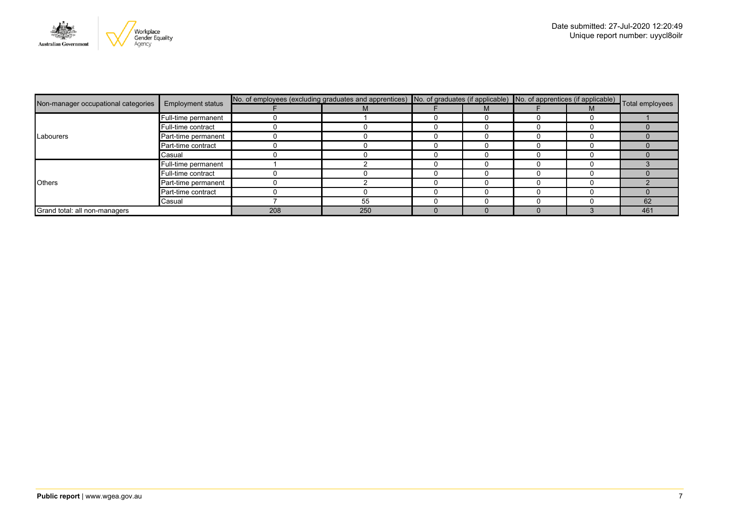

|                                     | <b>Employment status</b> | No. of employees (excluding graduates and apprentices) No. of graduates (if applicable) No. of apprentices (if applicable) Total employees |     |  |  |  |  |     |
|-------------------------------------|--------------------------|--------------------------------------------------------------------------------------------------------------------------------------------|-----|--|--|--|--|-----|
| Non-manager occupational categories |                          |                                                                                                                                            | М   |  |  |  |  |     |
|                                     | Full-time permanent      |                                                                                                                                            |     |  |  |  |  |     |
|                                     | Full-time contract       |                                                                                                                                            |     |  |  |  |  |     |
| Labourers                           | Part-time permanent      |                                                                                                                                            |     |  |  |  |  |     |
|                                     | Part-time contract       |                                                                                                                                            |     |  |  |  |  |     |
|                                     | Casual                   |                                                                                                                                            |     |  |  |  |  |     |
| <b>Others</b>                       | Full-time permanent      |                                                                                                                                            |     |  |  |  |  |     |
|                                     | Full-time contract       |                                                                                                                                            |     |  |  |  |  |     |
|                                     | Part-time permanent      |                                                                                                                                            |     |  |  |  |  |     |
|                                     | Part-time contract       |                                                                                                                                            |     |  |  |  |  |     |
|                                     | Casual                   |                                                                                                                                            | 55  |  |  |  |  | 62  |
| Grand total: all non-managers       |                          | 208                                                                                                                                        | 250 |  |  |  |  | 461 |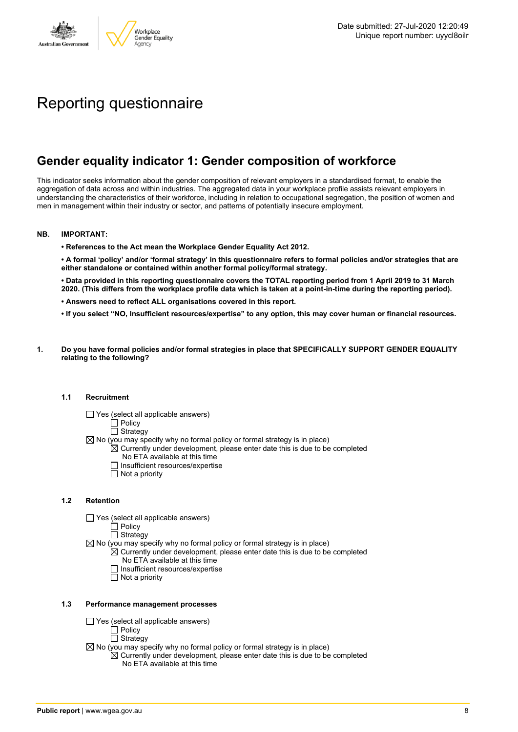

# Reporting questionnaire

### **Gender equality indicator 1: Gender composition of workforce**

This indicator seeks information about the gender composition of relevant employers in a standardised format, to enable the aggregation of data across and within industries. The aggregated data in your workplace profile assists relevant employers in understanding the characteristics of their workforce, including in relation to occupational segregation, the position of women and men in management within their industry or sector, and patterns of potentially insecure employment.

### **NB. IMPORTANT:**

**• References to the Act mean the Workplace Gender Equality Act 2012.**

• A formal 'policy' and/or 'formal strategy' in this questionnaire refers to formal policies and/or strategies that are **either standalone or contained within another formal policy/formal strategy.**

• Data provided in this reporting questionnaire covers the TOTAL reporting period from 1 April 2019 to 31 March 2020. (This differs from the workplace profile data which is taken at a point-in-time during the reporting period).

- **• Answers need to reflect ALL organisations covered in this report.**
- . If you select "NO, Insufficient resources/expertise" to any option, this may cover human or financial resources.
- **1. Do you have formal policies and/or formal strategies in place that SPECIFICALLY SUPPORT GENDER EQUALITY relating to the following?**

### **1.1 Recruitment**

- $\Box$  Yes (select all applicable answers)
	- $\Box$  Policy
	- $\Box$  Strategy
- $\boxtimes$  No (you may specify why no formal policy or formal strategy is in place)
	- $\boxtimes$  Currently under development, please enter date this is due to be completed
		- No ETA available at this time
		- $\Box$  Insufficient resources/expertise
		- $\Box$  Not a priority

### **1.2 Retention**

- Yes (select all applicable answers)
	- Policy
	- $\Box$  Strategy
- $\boxtimes$  No (you may specify why no formal policy or formal strategy is in place)
	- $\mathbb{\overline{X}}$  Currently under development, please enter date this is due to be completed
	- No ETA available at this time □ Insufficient resources/expertise
	-
	- $\Box$  Not a priority

### **1.3 Performance management processes**

- $\Box$  Yes (select all applicable answers)
	- Policy
	- Strategy
- $\boxtimes$  No (you may specify why no formal policy or formal strategy is in place)
	- $\boxtimes$  Currently under development, please enter date this is due to be completed No ETA available at this time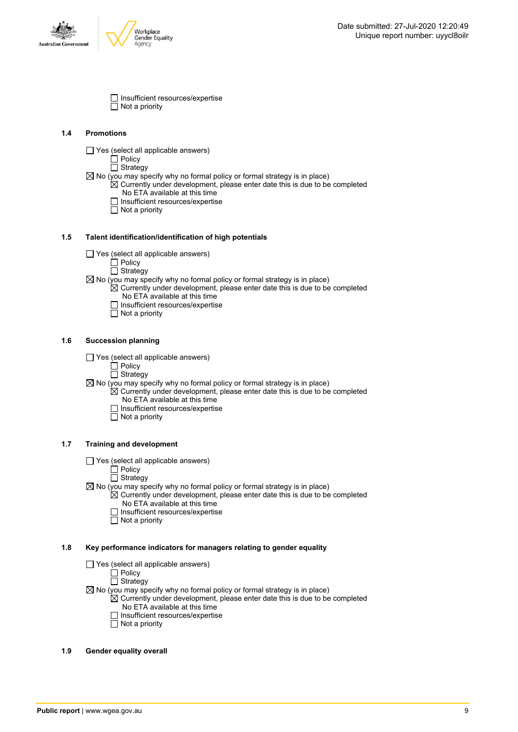



 $\Box$  Insufficient resources/expertise  $\Box$  Not a priority

### **1.4 Promotions**

 $\Box$  Yes (select all applicable answers)

 $\Box$  Policy  $\Box$  Strategy

- $\boxtimes$  No (you may specify why no formal policy or formal strategy is in place)
	- $\mathbb{\bar{Z}}$  Currently under development, please enter date this is due to be completed No ETA available at this time
	- Insufficient resources/expertise
	- $\Box$  Insufficient re<br> $\Box$  Not a priority

### **1.5 Talent identification/identification of high potentials**

- Yes (select all applicable answers)
	- $\Box$  Policy
	- $\overline{\Box}$  Strategy
- $\boxtimes$  No (you may specify why no formal policy or formal strategy is in place)
	- $\mathbb{\overline{Z}}$  Currently under development, please enter date this is due to be completed No ETA available at this time
		- $\Box$  Insufficient resources/expertise
		- $\Box$  Not a priority

### **1.6 Succession planning**

- $\Box$  Yes (select all applicable answers)
	- $\Box$  Policy
	- $\overline{\Box}$  Strategy
- $\boxtimes$  No (you may specify why no formal policy or formal strategy is in place)
	- $\boxtimes$  Currently under development, please enter date this is due to be completed
		- No ETA available at this time
		- $\Box$  Insufficient resources/expertise
		- $\Box$  Not a priority

### **1.7 Training and development**

- Yes (select all applicable answers)
	- Policy
	- **Strategy**
- $\boxtimes$  No (you may specify why no formal policy or formal strategy is in place)
- $\boxtimes$  Currently under development, please enter date this is due to be completed No ETA available at this time
	- $\Box$  Insufficient resources/expertise
	- $\overline{\Box}$  Not a priority

### **1.8 Key performance indicators for managers relating to gender equality**

- Yes (select all applicable answers)
	- $\Box$  Policy

### $\overline{\Box}$  Strategy

- $\boxtimes$  No (you may specify why no formal policy or formal strategy is in place)
	- $\mathbb{\overline{X}}$  Currently under development, please enter date this is due to be completed No ETA available at this time
		- $\Box$  Insufficient resources/expertise
		- □ Not a priority

### **1.9 Gender equality overall**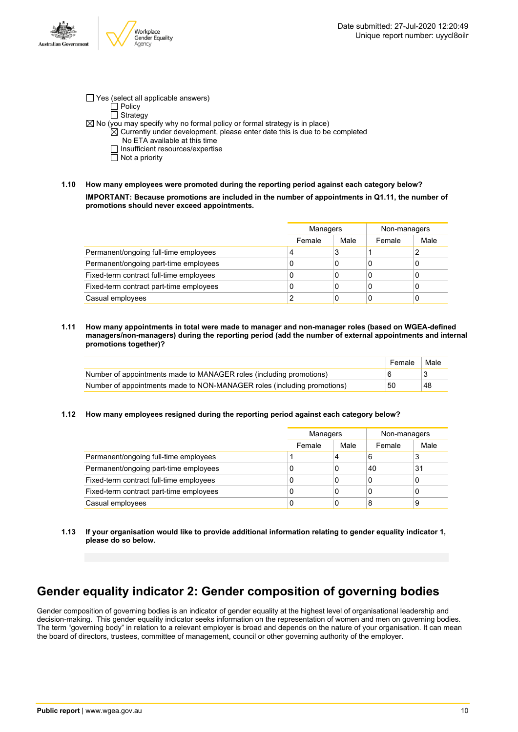

- $\Box$  Yes (select all applicable answers)  $\Box$  Policy  $\overline{\Box}$  Strategy  $\boxtimes$  No (you may specify why no formal policy or formal strategy is in place)  $\mathbb{\overline{X}}$  Currently under development, please enter date this is due to be completed No ETA available at this time
	- $\Box$  Insufficient resources/expertise
	- $\Box$  Not a priority
- **1.10 How many employees were promoted during the reporting period against each category below? IMPORTANT: Because promotions are included in the number of appointments in Q1.11, the number of promotions should never exceed appointments.**

|                                         |        | Managers |        | Non-managers |
|-----------------------------------------|--------|----------|--------|--------------|
|                                         | Female | Male     | Female | Male         |
| Permanent/ongoing full-time employees   | 4      | 3        |        | 2            |
| Permanent/ongoing part-time employees   | C      | 0        | C      | 0            |
| Fixed-term contract full-time employees | C      | 0        | C      | 0            |
| Fixed-term contract part-time employees | C      | 0        | C      | 0            |
| Casual employees                        |        | 0        | C      | 0            |

**1.11 How many appointments in total were made to manager and non-manager roles (based on WGEA-defined managers/non-managers) during the reporting period (add the number of external appointments and internal promotions together)?**

|                                                                         | Female | Male |
|-------------------------------------------------------------------------|--------|------|
| Number of appointments made to MANAGER roles (including promotions)     |        |      |
| Number of appointments made to NON-MANAGER roles (including promotions) | 50     | 48   |

**1.12 How many employees resigned during the reporting period against each category below?**

|                                         |        | Managers |        | Non-managers |
|-----------------------------------------|--------|----------|--------|--------------|
|                                         | Female | Male     | Female | Male         |
| Permanent/ongoing full-time employees   |        | 4        | 6      | 3            |
| Permanent/ongoing part-time employees   |        | 0        | 40     | 31           |
| Fixed-term contract full-time employees |        | 0        |        | 0            |
| Fixed-term contract part-time employees | 0      | 0        | U      | 0            |
| Casual employees                        | 0      | 0        | 8      | 9            |

**1.13 If your organisation would like to provide additional information relating to gender equality indicator 1, please do so below.**

### **Gender equality indicator 2: Gender composition of governing bodies**

Gender composition of governing bodies is an indicator of gender equality at the highest level of organisational leadership and decision-making. This gender equality indicator seeks information on the representation of women and men on governing bodies. The term "governing body" in relation to a relevant employer is broad and depends on the nature of your organisation. It can mean the board of directors, trustees, committee of management, council or other governing authority of the employer.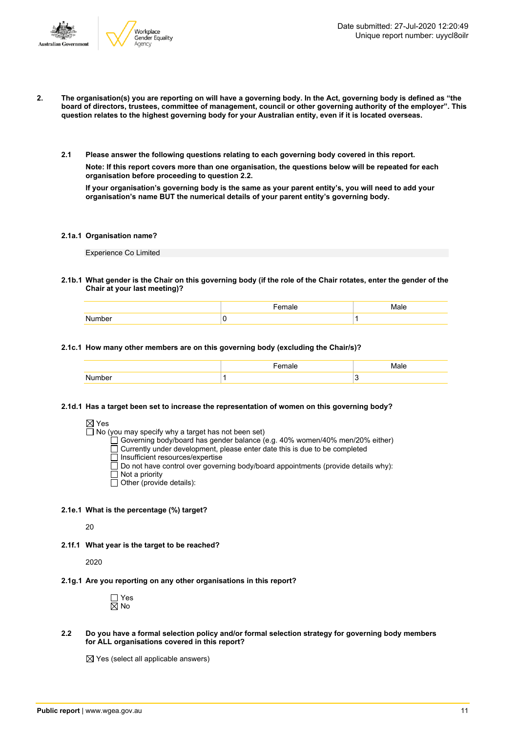



- 2. The organisation(s) you are reporting on will have a governing body. In the Act, governing body is defined as "the board of directors, trustees, committee of management, council or other governing authority of the employer". This question relates to the highest governing body for your Australian entity, even if it is located overseas.
	- **2.1 Please answer the following questions relating to each governing body covered in this report.**

**Note: If this report covers more than one organisation, the questions below will be repeated for each organisation before proceeding to question 2.2.**

If your organisation's governing body is the same as your parent entity's, you will need to add your **organisation's name BUT the numerical details of your parent entity's governing body.**

### **2.1a.1 Organisation name?**

Experience Co Limited

2.1b.1 What gender is the Chair on this governing body (if the role of the Chair rotates, enter the gender of the **Chair at your last meeting)?**

| .<br>78 | Male |
|---------|------|
|         |      |

#### **2.1c.1 How many other members are on this governing body (excluding the Chair/s)?**

### **2.1d.1 Has a target been set to increase the representation of women on this governing body?**

 $\Box$  No (you may specify why a target has not been set)

Governing body/board has gender balance (e.g. 40% women/40% men/20% either)

- Currently under development, please enter date this is due to be completed
- Insufficient resources/expertise
- $\Box$  Do not have control over governing body/board appointments (provide details why):
- Not a priority
- Other (provide details):

#### **2.1e.1 What is the percentage (%) target?**

 $20$ 

**2.1f.1 What year is the target to be reached?**

2020

**2.1g.1 Are you reporting on any other organisations in this report?**



**2.2 Do you have a formal selection policy and/or formal selection strategy for governing body members for ALL organisations covered in this report?**

 $\boxtimes$  Yes (select all applicable answers)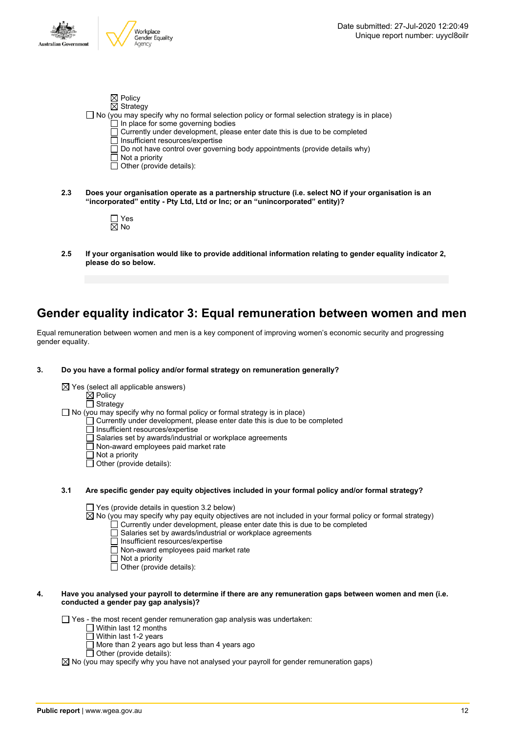

|     | $\boxtimes$ Policy                                                                                                                                                                   |
|-----|--------------------------------------------------------------------------------------------------------------------------------------------------------------------------------------|
|     | $\boxtimes$ Strategy<br>$\Box$ No (you may specify why no formal selection policy or formal selection strategy is in place)                                                          |
|     | $\Box$ In place for some governing bodies                                                                                                                                            |
|     | $\Box$ Currently under development, please enter date this is due to be completed<br>Insufficient resources/expertise                                                                |
|     | Do not have control over governing body appointments (provide details why)<br>  Not a priority                                                                                       |
|     | $\Box$ Other (provide details):                                                                                                                                                      |
| 2.3 | Does your organisation operate as a partnership structure (i.e. select NO if your organisation is an<br>"incorporated" entity - Pty Ltd, Ltd or Inc; or an "unincorporated" entity)? |
|     | Yes<br>$\boxtimes$ No                                                                                                                                                                |
| 2.5 | If your organisation would like to provide additional information relating to gender equality indicator 2,                                                                           |
|     | please do so below.                                                                                                                                                                  |

### **Gender equality indicator 3: Equal remuneration between women and men**

Equal remuneration between women and men is a key component of improving women's economic security and progressing gender equality.

- **3. Do you have a formal policy and/or formal strategy on remuneration generally?**
	- $\boxtimes$  Yes (select all applicable answers)

Policy

Strategy  $\Box$  No (you may specify why no formal policy or formal strategy is in place)

- Currently under development, please enter date this is due to be completed
	- Insufficient resources/expertise
	- Salaries set by awards/industrial or workplace agreements
	- $\Box$  Non-award employees paid market rate
	- $\Box$  Not a priority
	- $\Box$  Other (provide details):

### **3.1 Are specific gender pay equity objectives included in your formal policy and/or formal strategy?**

□ Yes (provide details in question 3.2 below)

 $\boxtimes$  No (you may specify why pay equity objectives are not included in your formal policy or formal strategy)  $\Box$  Currently under development, please enter date this is due to be completed

- Salaries set by awards/industrial or workplace agreements
- Insufficient resources/expertise
- Non-award employees paid market rate
- $\Box$  Not a priority
- $\overline{\Box}$  Other (provide details):

### 4. Have you analysed your payroll to determine if there are any remuneration gaps between women and men (i.e. **conducted a gender pay gap analysis)?**

 $\Box$  Yes - the most recent gender remuneration gap analysis was undertaken:

- $\Box$  Within last 12 months
- $\Box$  Within last 1-2 years
	- More than 2 years ago but less than 4 years ago
- Other (provide details):

 $\boxtimes$  No (you may specify why you have not analysed your payroll for gender remuneration gaps)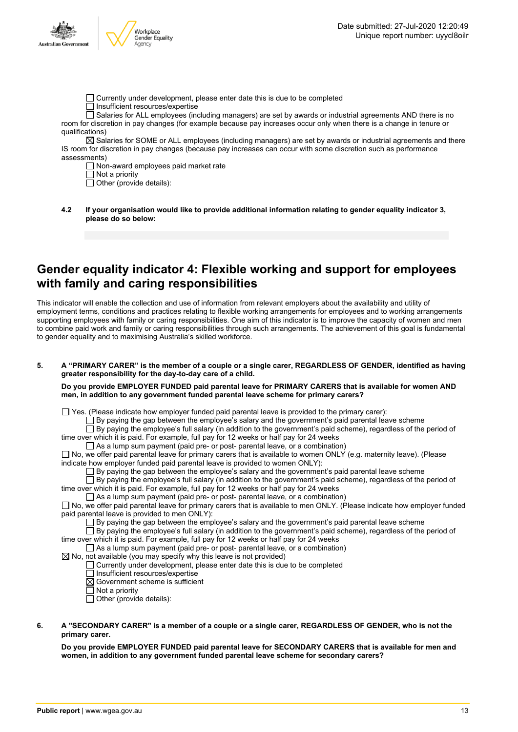

- Currently under development, please enter date this is due to be completed
- $\Box$  Insufficient resources/expertise

 $\Box$  Salaries for ALL employees (including managers) are set by awards or industrial agreements AND there is no room for discretion in pay changes (for example because pay increases occur only when there is a change in tenure or qualifications)

 $\boxtimes$  Salaries for SOME or ALL employees (including managers) are set by awards or industrial agreements and there IS room for discretion in pay changes (because pay increases can occur with some discretion such as performance assessments)

Non-award employees paid market rate

 $\overline{\Box}$  Not a priority

 $\Box$  Other (provide details):

**4.2 If your organisation would like to provide additional information relating to gender equality indicator 3, please do so below:**

### **Gender equality indicator 4: Flexible working and support for employees with family and caring responsibilities**

This indicator will enable the collection and use of information from relevant employers about the availability and utility of employment terms, conditions and practices relating to flexible working arrangements for employees and to working arrangements supporting employees with family or caring responsibilities. One aim of this indicator is to improve the capacity of women and men to combine paid work and family or caring responsibilities through such arrangements. The achievement of this goal is fundamental to gender equality and to maximising Australia's skilled workforce.

5. A "PRIMARY CARER" is the member of a couple or a single carer, REGARDLESS OF GENDER, identified as having **greater responsibility for the day-to-day care of a child.**

### **Do you provide EMPLOYER FUNDED paid parental leave for PRIMARY CARERS that is available for women AND men, in addition to any government funded parental leave scheme for primary carers?**

 $\Box$  Yes. (Please indicate how employer funded paid parental leave is provided to the primary carer):

By paying the gap between the employee's salary and the government's paid parental leave scheme

By paying the employee's full salary (in addition to the government's paid scheme), regardless of the period of time over which it is paid. For example, full pay for 12 weeks or half pay for 24 weeks

 $\Box$  As a lump sum payment (paid pre- or post- parental leave, or a combination)

 $\Box$  No, we offer paid parental leave for primary carers that is available to women ONLY (e.g. maternity leave). (Please indicate how employer funded paid parental leave is provided to women ONLY):

 $\square$  By paying the gap between the employee's salary and the government's paid parental leave scheme

 $\Box$  By paying the employee's full salary (in addition to the government's paid scheme), regardless of the period of time over which it is paid. For example, full pay for 12 weeks or half pay for 24 weeks

 $\Box$  As a lump sum payment (paid pre- or post- parental leave, or a combination)

No, we offer paid parental leave for primary carers that is available to men ONLY. (Please indicate how employer funded paid parental leave is provided to men ONLY):

 $\Box$  By paying the gap between the employee's salary and the government's paid parental leave scheme

 $\Box$  By paying the employee's full salary (in addition to the government's paid scheme), regardless of the period of time over which it is paid. For example, full pay for 12 weeks or half pay for 24 weeks

As a lump sum payment (paid pre- or post- parental leave, or a combination)

 $\boxtimes$  No, not available (you may specify why this leave is not provided)

Currently under development, please enter date this is due to be completed

□ Insufficient resources/expertise

 $\boxtimes$  Government scheme is sufficient

 $\Box$  Not a priority

 $\overline{\Box}$  Other (provide details):

### 6. A "SECONDARY CARER" is a member of a couple or a single carer, REGARDLESS OF GENDER, who is not the **primary carer.**

**Do you provide EMPLOYER FUNDED paid parental leave for SECONDARY CARERS that is available for men and women, in addition to any government funded parental leave scheme for secondary carers?**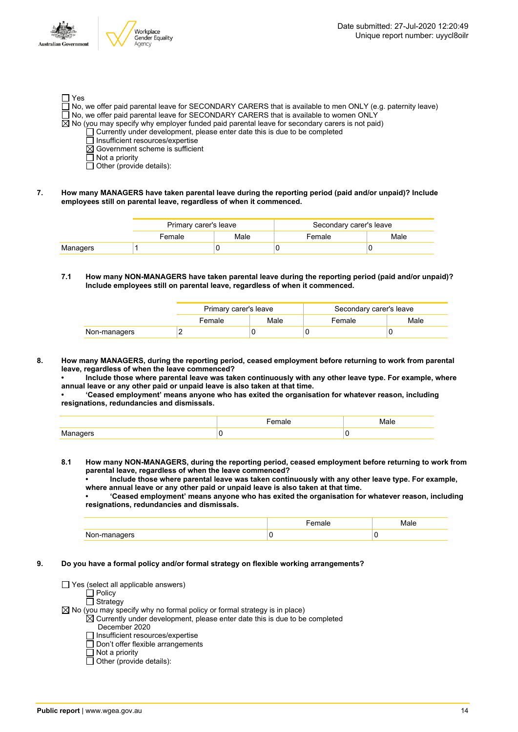

- □ Yes  $\Box$  No, we offer paid parental leave for SECONDARY CARERS that is available to men ONLY (e.g. paternity leave)  $\Box$  No, we offer paid parental leave for SECONDARY CARERS that is available to women ONLY  $\boxtimes$  No (you may specify why employer funded paid parental leave for secondary carers is not paid) Currently under development, please enter date this is due to be completed
	- Insufficient resources/expertise
	- $\boxtimes$  Government scheme is sufficient
	- $\Box$  Not a priority
	- $\Box$  Other (provide details):
- **7. How many MANAGERS have taken parental leave during the reporting period (paid and/or unpaid)? Include employees still on parental leave, regardless of when it commenced.**

|          | Primary carer's leave |      | Secondary carer's leave |      |
|----------|-----------------------|------|-------------------------|------|
|          | Female                | Male | Female                  | Male |
| Managers |                       |      |                         |      |

**7.1 How many NON-MANAGERS have taken parental leave during the reporting period (paid and/or unpaid)? Include employees still on parental leave, regardless of when it commenced.**

|              | Primary carer's leave |      | Secondary carer's leave |      |
|--------------|-----------------------|------|-------------------------|------|
|              | Female                | Male | Female                  | Male |
| Non-managers |                       |      |                         |      |

- **8. How many MANAGERS, during the reporting period, ceased employment before returning to work from parental leave, regardless of when the leave commenced?**
	- **• Include those where parental leave was taken continuously with any other leave type. For example, where annual leave or any other paid or unpaid leave is also taken at that time.**

**• 'Ceased employment' means anyone who has exited the organisation for whatever reason, including resignations, redundancies and dismissals.**

**8.1 How many NON-MANAGERS, during the reporting period, ceased employment before returning to work from parental leave, regardless of when the leave commenced?**

**• Include those where parental leave was taken continuously with any other leave type. For example, where annual leave or any other paid or unpaid leave is also taken at that time.**

**• 'Ceased employment' means anyone who has exited the organisation for whatever reason, including resignations, redundancies and dismissals.**

|                            | - - -- -<br>61 I V | ، ا ص |
|----------------------------|--------------------|-------|
| ט ובו<br>110111110110<br>◡ |                    | u     |

**9. Do you have a formal policy and/or formal strategy on flexible working arrangements?**

 $\Box$  Yes (select all applicable answers)

- Policy
- Strategy

 $\boxtimes$  No (you may specify why no formal policy or formal strategy is in place)

- $\boxtimes$  Currently under development, please enter date this is due to be completed
	- December 2020
	- Insufficient resources/expertise  $\Box$  Don't offer flexible arrangements
	- $\overline{\Pi}$  Not a priority
	- $\Box$  Other (provide details):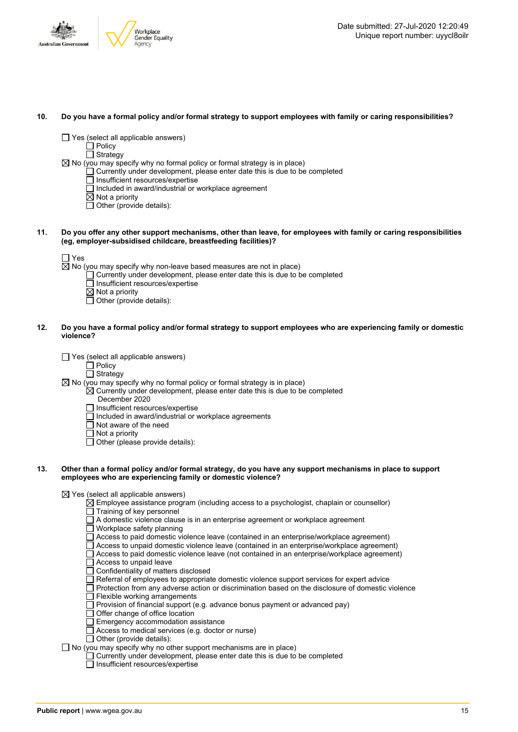

#### 10. Do you have a formal policy and/or formal strategy to support employees with family or caring responsibilities?

- $\Box$  Yes (select all applicable answers)
	- $\Box$  Policy

□ Strategy

- $\boxtimes$  No (you may specify why no formal policy or formal strategy is in place)
	- Currently under development, please enter date this is due to be completed
	- Insufficient resources/expertise
	- $\overline{\Box}$  Included in award/industrial or workplace agreement
	- $\overline{\boxtimes}$  Not a priority
	- $\overline{\Box}$  Other (provide details):
- 11. Do you offer any other support mechanisms, other than leave, for employees with family or caring responsibilities **(eg, employer-subsidised childcare, breastfeeding facilities)?**

 $\overline{\boxtimes}$  No (you may specify why non-leave based measures are not in place)

- $\Box$  Currently under development, please enter date this is due to be completed
- $\overline{\Box}$  Insufficient resources/expertise
- $\overline{\boxtimes}$  Not a priority
- $\overline{\Box}$  Other (provide details):
- 12. Do vou have a formal policy and/or formal strategy to support employees who are experiencing family or domestic **violence?**
	- $\Box$  Yes (select all applicable answers)
		- $\Box$  Policy
		- □ Strategy
	- $\boxtimes$  No (you may specify why no formal policy or formal strategy is in place)
		- $\overline{\boxtimes}$  Currently under development, please enter date this is due to be completed
			- December 2020
			- $\Box$  Insufficient resources/expertise
			- $\Box$  Included in award/industrial or workplace agreements
			- $\Box$  Not aware of the need
			- □ Not a priority
			- $\Box$  Other (please provide details):

#### 13. Other than a formal policy and/or formal strategy, do you have any support mechanisms in place to support **employees who are experiencing family or domestic violence?**

 $\boxtimes$  Yes (select all applicable answers)

- $\overline{\boxtimes}$  Employee assistance program (including access to a psychologist, chaplain or counsellor)  $\Box$  Training of key personnel
- A domestic violence clause is in an enterprise agreement or workplace agreement
- Workplace safety planning
- Access to paid domestic violence leave (contained in an enterprise/workplace agreement)
- Access to unpaid domestic violence leave (contained in an enterprise/workplace agreement)
- Access to paid domestic violence leave (not contained in an enterprise/workplace agreement)
- $\Box$  Access to unpaid leave
- □ Confidentiality of matters disclosed
- $\Box$  Referral of employees to appropriate domestic violence support services for expert advice
- $\Box$  Protection from any adverse action or discrimination based on the disclosure of domestic violence
- Flexible working arrangements<br>
Provision of financial support (e
- Provision of financial support (e.g. advance bonus payment or advanced pay)
- Offer change of office location
- Emergency accommodation assistance
- Access to medical services (e.g. doctor or nurse)
- $\Box$  Other (provide details):
- $\Box$  No (you may specify why no other support mechanisms are in place)
	- $\Box$  Currently under development, please enter date this is due to be completed
	- $\Box$  Insufficient resources/expertise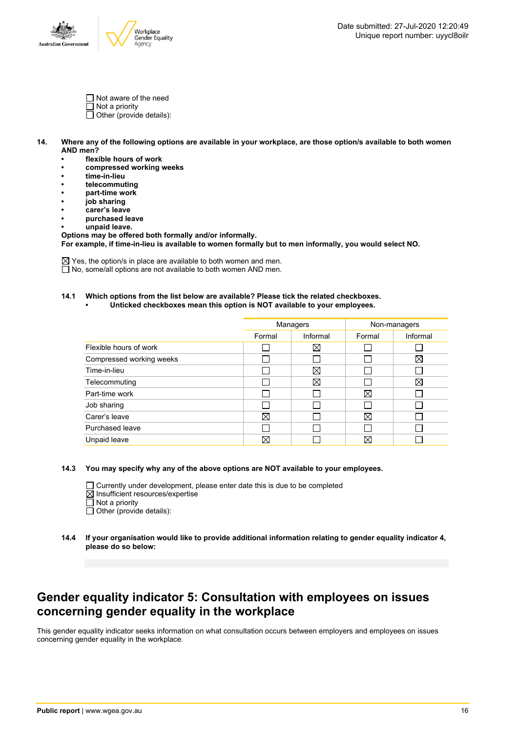

- Not aware of the need
- $\Box$  Not a priority
- $\overline{\Box}$  Other (provide details):
- 14. Where any of the following options are available in your workplace, are those option/s available to both women **AND men?**
	- **• flexible hours of work**
	- **• compressed working weeks**
	- **• time-in-lieu**
	- **• telecommuting**
	- **• part-time work**
	- **• job sharing**
	- **• carer's leave**
	- **• purchased leave**
	- **• unpaid leave.**

**Options may be offered both formally and/or informally. For example, if time-in-lieu is available to women formally but to men informally, you would select NO.**

 $\boxtimes$  Yes, the option/s in place are available to both women and men.  $\Box$  No, some/all options are not available to both women AND men.

### **14.1 Which options from the list below are available? Please tick the related checkboxes.**

**• Unticked checkboxes mean this option is NOT available to your employees.**

|                          | Managers |          | Non-managers |          |
|--------------------------|----------|----------|--------------|----------|
|                          | Formal   | Informal | Formal       | Informal |
| Flexible hours of work   |          | ⊠        |              |          |
| Compressed working weeks |          |          | I.           | X        |
| Time-in-lieu             |          | X        |              |          |
| Telecommuting            |          | ⊠        |              | ⊠        |
| Part-time work           |          |          | $\boxtimes$  |          |
| Job sharing              |          |          |              |          |
| Carer's leave            | ⊠        |          | X            |          |
| Purchased leave          |          |          | I.           |          |
| Unpaid leave             | ⋈        |          | $\boxtimes$  |          |

**14.3 You may specify why any of the above options are NOT available to your employees.**

 $\Box$  Currently under development, please enter date this is due to be completed

- $\boxtimes$  Insufficient resources/expertise
- $\Box$  Not a priority
- $\Box$  Other (provide details):
- **14.4 If your organisation would like to provide additional information relating to gender equality indicator 4, please do so below:**

### **Gender equality indicator 5: Consultation with employees on issues concerning gender equality in the workplace**

This gender equality indicator seeks information on what consultation occurs between employers and employees on issues concerning gender equality in the workplace.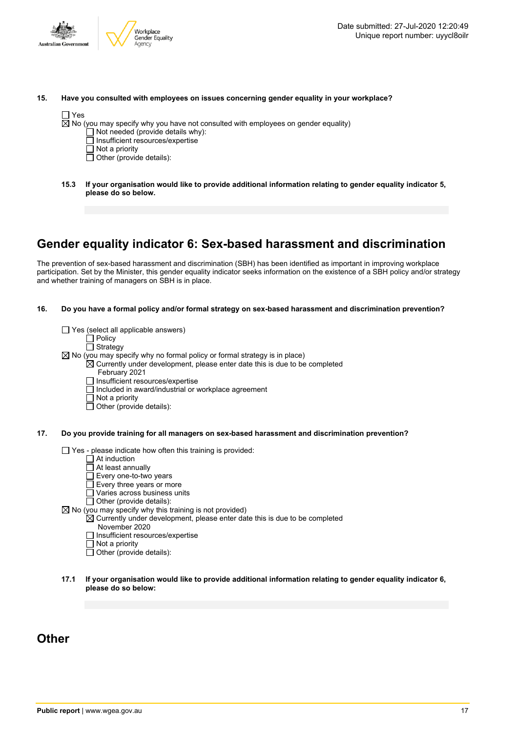

| 15. |  | Have you consulted with employees on issues concerning gender equality in your workplace? |  |  |
|-----|--|-------------------------------------------------------------------------------------------|--|--|
|-----|--|-------------------------------------------------------------------------------------------|--|--|

| ×<br>۰, | ×<br>۰, |
|---------|---------|
|         |         |

 $\overline{\boxtimes}$  No (you may specify why you have not consulted with employees on gender equality)

- $\Box$  Not needed (provide details why):
- Insufficient resources/expertise
- $\Box$  Not a priority
- $\Box$  Other (provide details):
- **15.3 If your organisation would like to provide additional information relating to gender equality indicator 5, please do so below.**

### **Gender equality indicator 6: Sex-based harassment and discrimination**

The prevention of sex-based harassment and discrimination (SBH) has been identified as important in improving workplace participation. Set by the Minister, this gender equality indicator seeks information on the existence of a SBH policy and/or strategy and whether training of managers on SBH is in place.

**16. Do you have a formal policy and/or formal strategy on sex-based harassment and discrimination prevention?**

 $\Box$  Yes (select all applicable answers)  $\Box$  Policy  $\overline{\Box}$  Strategy  $\boxtimes$  No (you may specify why no formal policy or formal strategy is in place)  $\overline{\boxtimes}$  Currently under development, please enter date this is due to be completed February 2021  $\Box$  Insufficient resources/expertise  $\Box$  Included in award/industrial or workplace agreement  $\Box$  Not a priority

- $\Box$  Other (provide details):
- **17. Do you provide training for all managers on sex-based harassment and discrimination prevention?**

Yes - please indicate how often this training is provided:

- At induction
- At least annually
- $\Box$  Every one-to-two years
- Every three years or more
- Varies across business units
- Other (provide details):  $\boxtimes$  No (you may specify why this training is not provided)
	- $\overline{\boxtimes}$  Currently under development, please enter date this is due to be completed
		- November 2020
			- □ Insufficient resources/expertise
			- $\Box$  Not a priority
			- $\Box$  Other (provide details):
- **17.1 If your organisation would like to provide additional information relating to gender equality indicator 6, please do so below:**

### **Other**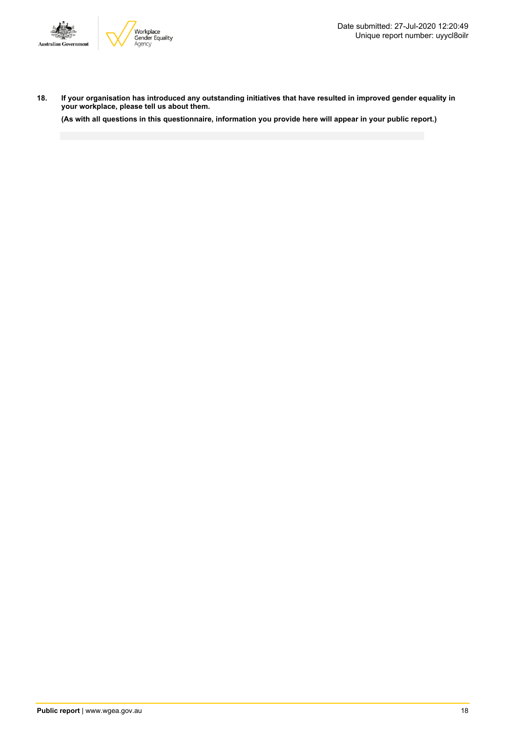

18. If your organisation has introduced any outstanding initiatives that have resulted in improved gender equality in **your workplace, please tell us about them.**

(As with all questions in this questionnaire, information you provide here will appear in your public report.)